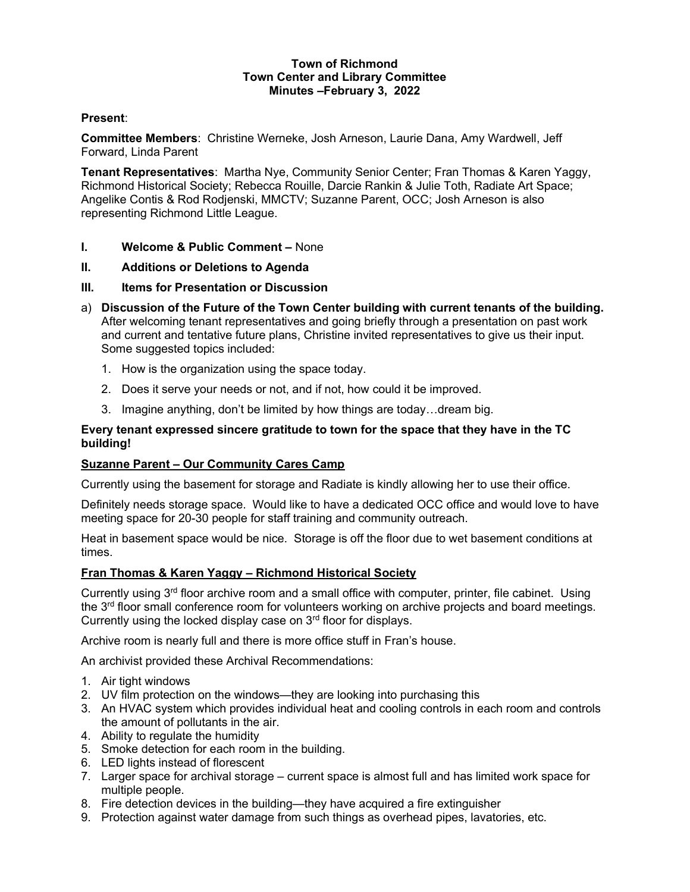### Town of Richmond Town Center and Library Committee Minutes –February 3, 2022

### Present:

Committee Members: Christine Werneke, Josh Arneson, Laurie Dana, Amy Wardwell, Jeff Forward, Linda Parent

Tenant Representatives: Martha Nye, Community Senior Center; Fran Thomas & Karen Yaggy, Richmond Historical Society; Rebecca Rouille, Darcie Rankin & Julie Toth, Radiate Art Space; Angelike Contis & Rod Rodjenski, MMCTV; Suzanne Parent, OCC; Josh Arneson is also representing Richmond Little League.

- I. Welcome & Public Comment None
- II. Additions or Deletions to Agenda
- III. Items for Presentation or Discussion
- a) Discussion of the Future of the Town Center building with current tenants of the building. After welcoming tenant representatives and going briefly through a presentation on past work and current and tentative future plans, Christine invited representatives to give us their input. Some suggested topics included:
	- 1. How is the organization using the space today.
	- 2. Does it serve your needs or not, and if not, how could it be improved.
	- 3. Imagine anything, don't be limited by how things are today…dream big.

### Every tenant expressed sincere gratitude to town for the space that they have in the TC building!

### Suzanne Parent – Our Community Cares Camp

Currently using the basement for storage and Radiate is kindly allowing her to use their office.

Definitely needs storage space. Would like to have a dedicated OCC office and would love to have meeting space for 20-30 people for staff training and community outreach.

Heat in basement space would be nice. Storage is off the floor due to wet basement conditions at times.

### Fran Thomas & Karen Yaggy – Richmond Historical Society

Currently using  $3<sup>rd</sup>$  floor archive room and a small office with computer, printer, file cabinet. Using the  $3<sup>rd</sup>$  floor small conference room for volunteers working on archive projects and board meetings. Currently using the locked display case on  $3<sup>rd</sup>$  floor for displays.

Archive room is nearly full and there is more office stuff in Fran's house.

An archivist provided these Archival Recommendations:

- 1. Air tight windows
- 2. UV film protection on the windows—they are looking into purchasing this
- 3. An HVAC system which provides individual heat and cooling controls in each room and controls the amount of pollutants in the air.
- 4. Ability to regulate the humidity
- 5. Smoke detection for each room in the building.
- 6. LED lights instead of florescent
- 7. Larger space for archival storage current space is almost full and has limited work space for multiple people.
- 8. Fire detection devices in the building—they have acquired a fire extinguisher
- 9. Protection against water damage from such things as overhead pipes, lavatories, etc.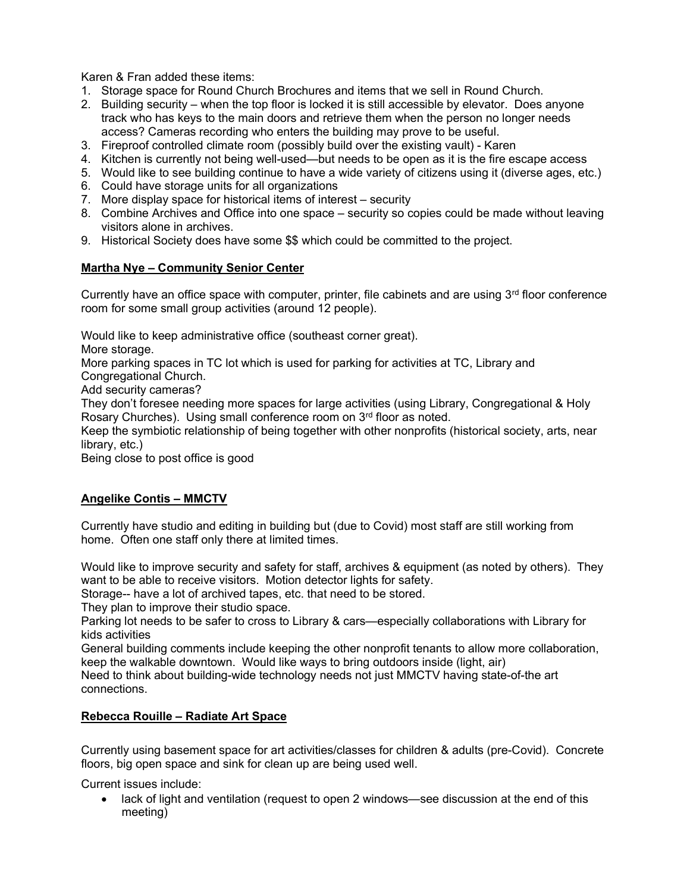Karen & Fran added these items:

- 1. Storage space for Round Church Brochures and items that we sell in Round Church.
- 2. Building security when the top floor is locked it is still accessible by elevator. Does anyone track who has keys to the main doors and retrieve them when the person no longer needs access? Cameras recording who enters the building may prove to be useful.
- 3. Fireproof controlled climate room (possibly build over the existing vault) Karen
- 4. Kitchen is currently not being well-used—but needs to be open as it is the fire escape access
- 5. Would like to see building continue to have a wide variety of citizens using it (diverse ages, etc.)
- 6. Could have storage units for all organizations
- 7. More display space for historical items of interest security
- 8. Combine Archives and Office into one space security so copies could be made without leaving visitors alone in archives.
- 9. Historical Society does have some \$\$ which could be committed to the project.

## Martha Nye – Community Senior Center

Currently have an office space with computer, printer, file cabinets and are using  $3<sup>rd</sup>$  floor conference room for some small group activities (around 12 people).

Would like to keep administrative office (southeast corner great).

More storage.

More parking spaces in TC lot which is used for parking for activities at TC, Library and

Congregational Church. Add security cameras?

They don't foresee needing more spaces for large activities (using Library, Congregational & Holy Rosary Churches). Using small conference room on 3<sup>rd</sup> floor as noted.

Keep the symbiotic relationship of being together with other nonprofits (historical society, arts, near library, etc.)

Being close to post office is good

# Angelike Contis – MMCTV

Currently have studio and editing in building but (due to Covid) most staff are still working from home. Often one staff only there at limited times.

Would like to improve security and safety for staff, archives & equipment (as noted by others). They want to be able to receive visitors. Motion detector lights for safety.

Storage-- have a lot of archived tapes, etc. that need to be stored.

They plan to improve their studio space.

Parking lot needs to be safer to cross to Library & cars—especially collaborations with Library for kids activities

General building comments include keeping the other nonprofit tenants to allow more collaboration, keep the walkable downtown. Would like ways to bring outdoors inside (light, air)

Need to think about building-wide technology needs not just MMCTV having state-of-the art connections.

# Rebecca Rouille – Radiate Art Space

Currently using basement space for art activities/classes for children & adults (pre-Covid). Concrete floors, big open space and sink for clean up are being used well.

Current issues include:

 lack of light and ventilation (request to open 2 windows—see discussion at the end of this meeting)